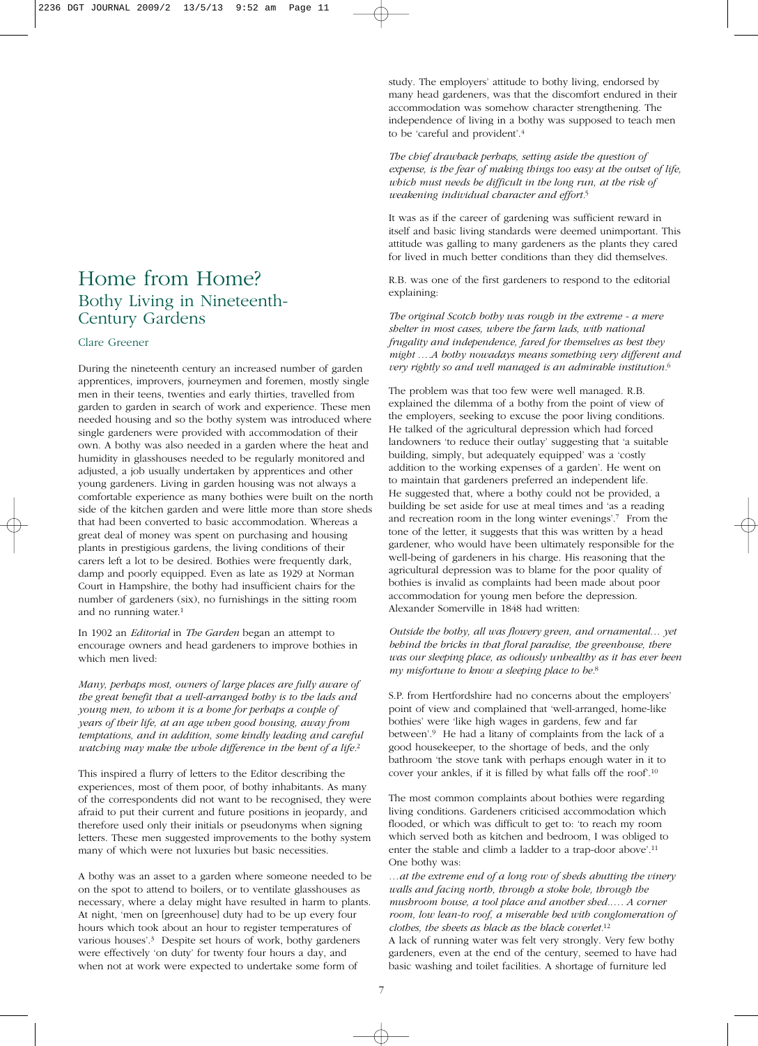## Home from Home? Bothy Living in Nineteenth-Century Gardens

## Clare Greener

During the nineteenth century an increased number of garden apprentices, improvers, journeymen and foremen, mostly single men in their teens, twenties and early thirties, travelled from garden to garden in search of work and experience. These men needed housing and so the bothy system was introduced where single gardeners were provided with accommodation of their own. A bothy was also needed in a garden where the heat and humidity in glasshouses needed to be regularly monitored and adjusted, a job usually undertaken by apprentices and other young gardeners. Living in garden housing was not always a comfortable experience as many bothies were built on the north side of the kitchen garden and were little more than store sheds that had been converted to basic accommodation. Whereas a great deal of money was spent on purchasing and housing plants in prestigious gardens, the living conditions of their carers left a lot to be desired. Bothies were frequently dark, damp and poorly equipped. Even as late as 1929 at Norman Court in Hampshire, the bothy had insufficient chairs for the number of gardeners (six), no furnishings in the sitting room and no running water.1

In 1902 an *Editorial* in *The Garden* began an attempt to encourage owners and head gardeners to improve bothies in which men lived:

*Many, perhaps most, owners of large places are fully aware of the great benefit that a well-arranged bothy is to the lads and young men, to whom it is a home for perhaps a couple of years of their life, at an age when good housing, away from temptations, and in addition, some kindly leading and careful watching may make the whole difference in the bent of a life.*<sup>2</sup>

This inspired a flurry of letters to the Editor describing the experiences, most of them poor, of bothy inhabitants. As many of the correspondents did not want to be recognised, they were afraid to put their current and future positions in jeopardy, and therefore used only their initials or pseudonyms when signing letters. These men suggested improvements to the bothy system many of which were not luxuries but basic necessities.

A bothy was an asset to a garden where someone needed to be on the spot to attend to boilers, or to ventilate glasshouses as necessary, where a delay might have resulted in harm to plants. At night, 'men on [greenhouse] duty had to be up every four hours which took about an hour to register temperatures of various houses'.3 Despite set hours of work, bothy gardeners were effectively 'on duty' for twenty four hours a day, and when not at work were expected to undertake some form of

study. The employers' attitude to bothy living, endorsed by many head gardeners, was that the discomfort endured in their accommodation was somehow character strengthening. The independence of living in a bothy was supposed to teach men to be 'careful and provident'.4

*The chief drawback perhaps, setting aside the question of expense, is the fear of making things too easy at the outset of life, which must needs be difficult in the long run, at the risk of weakening individual character and effort.*<sup>5</sup>

It was as if the career of gardening was sufficient reward in itself and basic living standards were deemed unimportant. This attitude was galling to many gardeners as the plants they cared for lived in much better conditions than they did themselves.

R.B. was one of the first gardeners to respond to the editorial explaining:

*The original Scotch bothy was rough in the extreme - a mere shelter in most cases, where the farm lads, with national frugality and independence, fared for themselves as best they might ….A bothy nowadays means something very different and very rightly so and well managed is an admirable institution.*<sup>6</sup>

The problem was that too few were well managed. R.B. explained the dilemma of a bothy from the point of view of the employers, seeking to excuse the poor living conditions. He talked of the agricultural depression which had forced landowners 'to reduce their outlay' suggesting that 'a suitable building, simply, but adequately equipped' was a 'costly addition to the working expenses of a garden'. He went on to maintain that gardeners preferred an independent life. He suggested that, where a bothy could not be provided, a building be set aside for use at meal times and 'as a reading and recreation room in the long winter evenings'.7 From the tone of the letter, it suggests that this was written by a head gardener, who would have been ultimately responsible for the well-being of gardeners in his charge. His reasoning that the agricultural depression was to blame for the poor quality of bothies is invalid as complaints had been made about poor accommodation for young men before the depression. Alexander Somerville in 1848 had written:

*Outside the bothy, all was flowery green, and ornamental… yet behind the bricks in that floral paradise, the greenhouse, there was our sleeping place, as odiously unhealthy as it has ever been my misfortune to know a sleeping place to be.*<sup>8</sup>

S.P. from Hertfordshire had no concerns about the employers' point of view and complained that 'well-arranged, home-like bothies' were 'like high wages in gardens, few and far between'.9 He had a litany of complaints from the lack of a good housekeeper, to the shortage of beds, and the only bathroom 'the stove tank with perhaps enough water in it to cover your ankles, if it is filled by what falls off the roof'.10

The most common complaints about bothies were regarding living conditions. Gardeners criticised accommodation which flooded, or which was difficult to get to: 'to reach my room which served both as kitchen and bedroom, I was obliged to enter the stable and climb a ladder to a trap-door above'.11 One bothy was:

*…at the extreme end of a long row of sheds abutting the vinery walls and facing north, through a stoke hole, through the mushroom house, a tool place and another shed.…. A corner room, low lean-to roof, a miserable bed with conglomeration of clothes, the sheets as black as the black coverlet.*<sup>12</sup>

A lack of running water was felt very strongly. Very few bothy gardeners, even at the end of the century, seemed to have had basic washing and toilet facilities. A shortage of furniture led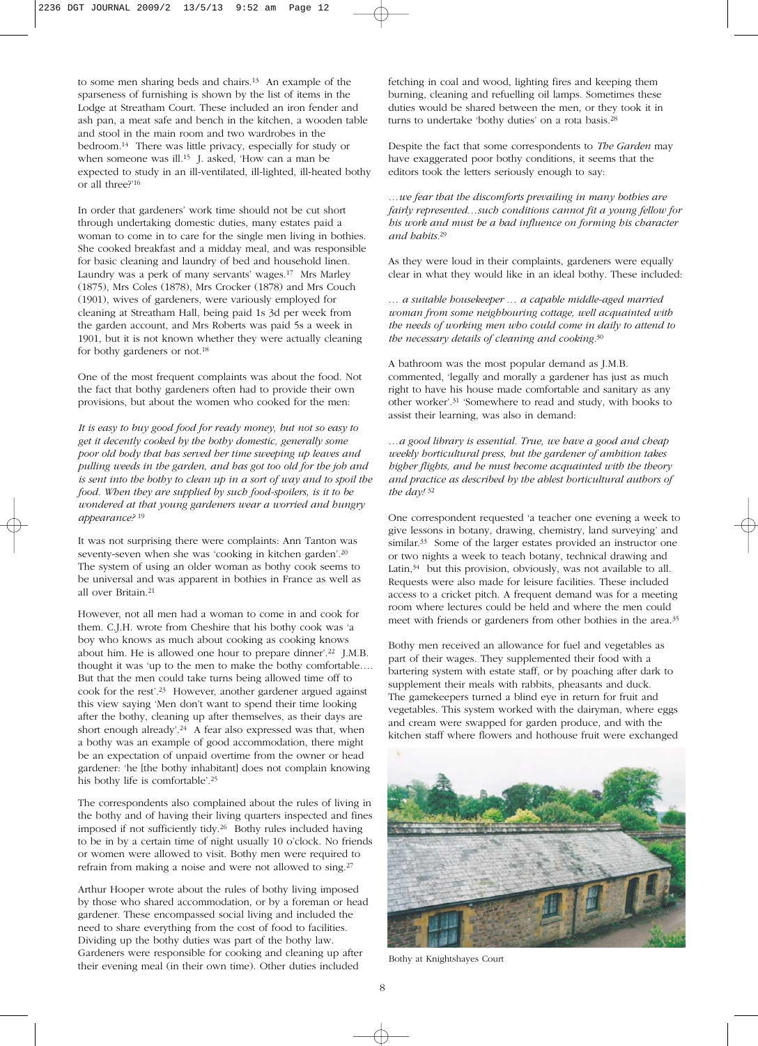to some men sharing beds and chairs.13 An example of the sparseness of furnishing is shown by the list of items in the Lodge at Streatham Court. These included an iron fender and ash pan, a meat safe and bench in the kitchen, a wooden table and stool in the main room and two wardrobes in the bedroom.14 There was little privacy, especially for study or when someone was ill.<sup>15</sup> J. asked, 'How can a man be expected to study in an ill-ventilated, ill-lighted, ill-heated bothy or all three?'16

In order that gardeners' work time should not be cut short through undertaking domestic duties, many estates paid a woman to come in to care for the single men living in bothies. She cooked breakfast and a midday meal, and was responsible for basic cleaning and laundry of bed and household linen. Laundry was a perk of many servants' wages.17 Mrs Marley (1875), Mrs Coles (1878), Mrs Crocker (1878) and Mrs Couch (1901), wives of gardeners, were variously employed for cleaning at Streatham Hall, being paid 1s 3d per week from the garden account, and Mrs Roberts was paid 5s a week in 1901, but it is not known whether they were actually cleaning for bothy gardeners or not.<sup>18</sup>

One of the most frequent complaints was about the food. Not the fact that bothy gardeners often had to provide their own provisions, but about the women who cooked for the men:

*It is easy to buy good food for ready money, but not so easy to get it decently cooked by the bothy domestic, generally some poor old body that has served her time sweeping up leaves and pulling weeds in the garden, and has got too old for the job and is sent into the bothy to clean up in a sort of way and to spoil the food. When they are supplied by such food-spoilers, is it to be wondered at that young gardeners wear a worried and hungry appearance?* <sup>19</sup>

It was not surprising there were complaints: Ann Tanton was seventy-seven when she was 'cooking in kitchen garden'.20 The system of using an older woman as bothy cook seems to be universal and was apparent in bothies in France as well as all over Britain.<sup>21</sup>

However, not all men had a woman to come in and cook for them. C.J.H. wrote from Cheshire that his bothy cook was 'a boy who knows as much about cooking as cooking knows about him. He is allowed one hour to prepare dinner'.22 J.M.B. thought it was 'up to the men to make the bothy comfortable…. But that the men could take turns being allowed time off to cook for the rest'.23 However, another gardener argued against this view saying 'Men don't want to spend their time looking after the bothy, cleaning up after themselves, as their days are short enough already'.<sup>24</sup> A fear also expressed was that, when a bothy was an example of good accommodation, there might be an expectation of unpaid overtime from the owner or head gardener: 'he [the bothy inhabitant] does not complain knowing his bothy life is comfortable'.25

The correspondents also complained about the rules of living in the bothy and of having their living quarters inspected and fines imposed if not sufficiently tidy.26 Bothy rules included having to be in by a certain time of night usually 10 o'clock. No friends or women were allowed to visit. Bothy men were required to refrain from making a noise and were not allowed to sing.27

Arthur Hooper wrote about the rules of bothy living imposed by those who shared accommodation, or by a foreman or head gardener. These encompassed social living and included the need to share everything from the cost of food to facilities. Dividing up the bothy duties was part of the bothy law. Gardeners were responsible for cooking and cleaning up after their evening meal (in their own time). Other duties included

fetching in coal and wood, lighting fires and keeping them burning, cleaning and refuelling oil lamps. Sometimes these duties would be shared between the men, or they took it in turns to undertake 'bothy duties' on a rota basis.28

Despite the fact that some correspondents to *The Garden* may have exaggerated poor bothy conditions, it seems that the editors took the letters seriously enough to say:

*…we fear that the discomforts prevailing in many bothies are fairly represented…such conditions cannot fit a young fellow for his work and must be a bad influence on forming his character and habits.*<sup>29</sup>

As they were loud in their complaints, gardeners were equally clear in what they would like in an ideal bothy. These included:

*… a suitable housekeeper … a capable middle-aged married woman from some neighbouring cottage, well acquainted with the needs of working men who could come in daily to attend to the necessary details of cleaning and cooking.*<sup>30</sup>

A bathroom was the most popular demand as J.M.B. commented, 'legally and morally a gardener has just as much right to have his house made comfortable and sanitary as any other worker'.31 'Somewhere to read and study, with books to assist their learning, was also in demand:

*…a good library is essential. True, we have a good and cheap weekly horticultural press, but the gardener of ambition takes higher flights, and he must become acquainted with the theory and practice as described by the ablest horticultural authors of the day!* <sup>32</sup>

One correspondent requested 'a teacher one evening a week to give lessons in botany, drawing, chemistry, land surveying' and similar.<sup>33</sup> Some of the larger estates provided an instructor one or two nights a week to teach botany, technical drawing and Latin,<sup>34</sup> but this provision, obviously, was not available to all. Requests were also made for leisure facilities. These included access to a cricket pitch. A frequent demand was for a meeting room where lectures could be held and where the men could meet with friends or gardeners from other bothies in the area.35

Bothy men received an allowance for fuel and vegetables as part of their wages. They supplemented their food with a bartering system with estate staff, or by poaching after dark to supplement their meals with rabbits, pheasants and duck. The gamekeepers turned a blind eye in return for fruit and vegetables. This system worked with the dairyman, where eggs and cream were swapped for garden produce, and with the kitchen staff where flowers and hothouse fruit were exchanged



Bothy at Knightshayes Court